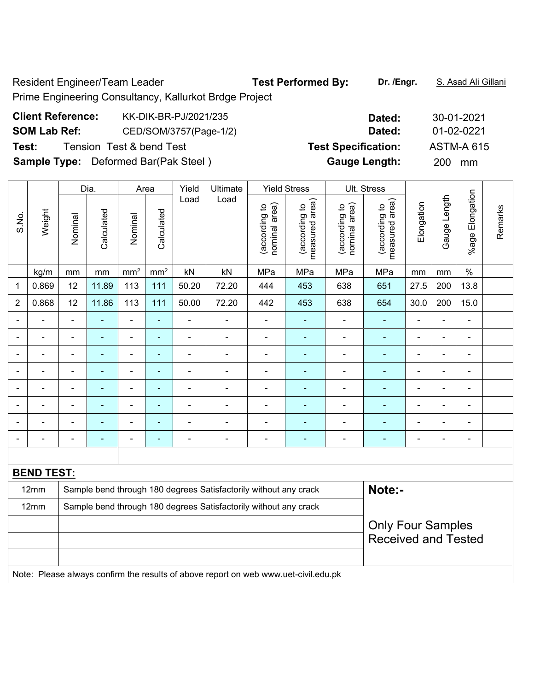Resident Engineer/Team Leader **Test Performed By:** Dr. /Engr. **S. Asad Ali Gillani** Prime Engineering Consultancy, Kallurkot Brdge Project

| <b>Client Reference:</b> | KK-DIK-BR-PJ/2021/235                       | Dated:                     | 30-01-2021        |
|--------------------------|---------------------------------------------|----------------------------|-------------------|
| <b>SOM Lab Ref:</b>      | CED/SOM/3757(Page-1/2)                      | Dated:                     | 01-02-0221        |
| Test:                    | Tension Test & bend Test                    | <b>Test Specification:</b> | <b>ASTM-A 615</b> |
|                          | <b>Sample Type:</b> Deformed Bar(Pak Steel) | <b>Gauge Length:</b>       | <b>200</b><br>mm  |

|                          | Dia.<br>Area      |                |                                                                  |                          | Yield           | Ultimate       |                                                                                     | <b>Yield Stress</b>            |                                 | Ult. Stress                    |                                    |                          |                |                              |         |
|--------------------------|-------------------|----------------|------------------------------------------------------------------|--------------------------|-----------------|----------------|-------------------------------------------------------------------------------------|--------------------------------|---------------------------------|--------------------------------|------------------------------------|--------------------------|----------------|------------------------------|---------|
| S.No.                    | Weight            | Nominal        | Calculated                                                       | Nominal                  | Calculated      | Load           | Load                                                                                | nominal area)<br>(according to | measured area)<br>(according to | nominal area)<br>(according to | area)<br>(according to<br>measured | Elongation               | Gauge Length   | %age Elongation              | Remarks |
|                          | kg/m              | mm             | mm                                                               | mm <sup>2</sup>          | mm <sup>2</sup> | kN             | kN                                                                                  | MPa                            | MPa                             | MPa                            | MPa                                | mm                       | mm             | $\%$                         |         |
| 1                        | 0.869             | 12             | 11.89                                                            | 113                      | 111             | 50.20          | 72.20                                                                               | 444                            | 453                             | 638                            | 651                                | 27.5                     | 200            | 13.8                         |         |
| $\overline{2}$           | 0.868             | 12             | 11.86                                                            | 113                      | 111             | 50.00          | 72.20                                                                               | 442                            | 453                             | 638                            | 654                                | 30.0                     | 200            | 15.0                         |         |
|                          |                   |                |                                                                  | ä,                       | $\blacksquare$  | ä,             |                                                                                     | $\blacksquare$                 |                                 |                                |                                    | ä,                       |                | ä,                           |         |
| $\blacksquare$           |                   | $\blacksquare$ | $\blacksquare$                                                   | $\blacksquare$           | $\blacksquare$  | $\blacksquare$ | $\blacksquare$                                                                      | $\blacksquare$                 | $\blacksquare$                  | $\blacksquare$                 | $\blacksquare$                     | $\blacksquare$           | $\blacksquare$ | $\overline{\phantom{a}}$     |         |
| $\overline{\phantom{0}}$ |                   | ۰              | ۰                                                                | $\blacksquare$           | $\blacksquare$  | $\blacksquare$ | $\blacksquare$                                                                      | $\overline{a}$                 | $\blacksquare$                  | $\overline{\phantom{a}}$       | $\blacksquare$                     | $\overline{\phantom{a}}$ | ä,             | $\overline{\phantom{a}}$     |         |
|                          | ÷                 | ۰              | $\blacksquare$                                                   | $\overline{\phantom{a}}$ | $\blacksquare$  | $\blacksquare$ | $\blacksquare$                                                                      | $\blacksquare$                 | $\blacksquare$                  | ÷                              | $\blacksquare$                     | $\blacksquare$           | $\blacksquare$ | $\qquad \qquad \blacksquare$ |         |
|                          |                   |                | ÷                                                                | $\blacksquare$           | ä,              | $\blacksquare$ | $\blacksquare$                                                                      | $\overline{a}$                 |                                 | Ē,                             | $\blacksquare$                     | ä,                       | ä,             | $\blacksquare$               |         |
|                          |                   |                |                                                                  | ۰                        | $\blacksquare$  |                |                                                                                     |                                |                                 |                                | $\blacksquare$                     |                          |                | $\blacksquare$               |         |
|                          |                   |                |                                                                  | Ē,                       |                 |                |                                                                                     |                                |                                 |                                |                                    |                          |                | $\blacksquare$               |         |
| $\overline{\phantom{0}}$ |                   | ۰              | $\overline{\phantom{a}}$                                         | $\overline{\phantom{0}}$ | ۳               | $\overline{a}$ | $\overline{a}$                                                                      | $\qquad \qquad \blacksquare$   | $\blacksquare$                  | ÷                              | $\overline{\phantom{a}}$           | $\blacksquare$           | $\blacksquare$ | $\blacksquare$               |         |
|                          |                   |                |                                                                  |                          |                 |                |                                                                                     |                                |                                 |                                |                                    |                          |                |                              |         |
|                          | <b>BEND TEST:</b> |                |                                                                  |                          |                 |                |                                                                                     |                                |                                 |                                |                                    |                          |                |                              |         |
|                          | 12mm              |                |                                                                  |                          |                 |                | Sample bend through 180 degrees Satisfactorily without any crack                    |                                |                                 |                                | Note:-                             |                          |                |                              |         |
|                          | 12mm              |                | Sample bend through 180 degrees Satisfactorily without any crack |                          |                 |                |                                                                                     |                                |                                 |                                |                                    |                          |                |                              |         |
|                          |                   |                |                                                                  |                          |                 |                |                                                                                     |                                |                                 |                                | <b>Only Four Samples</b>           |                          |                |                              |         |
|                          |                   |                |                                                                  |                          |                 |                |                                                                                     |                                |                                 |                                | <b>Received and Tested</b>         |                          |                |                              |         |
|                          |                   |                |                                                                  |                          |                 |                |                                                                                     |                                |                                 |                                |                                    |                          |                |                              |         |
|                          |                   |                |                                                                  |                          |                 |                | Note: Please always confirm the results of above report on web www.uet-civil.edu.pk |                                |                                 |                                |                                    |                          |                |                              |         |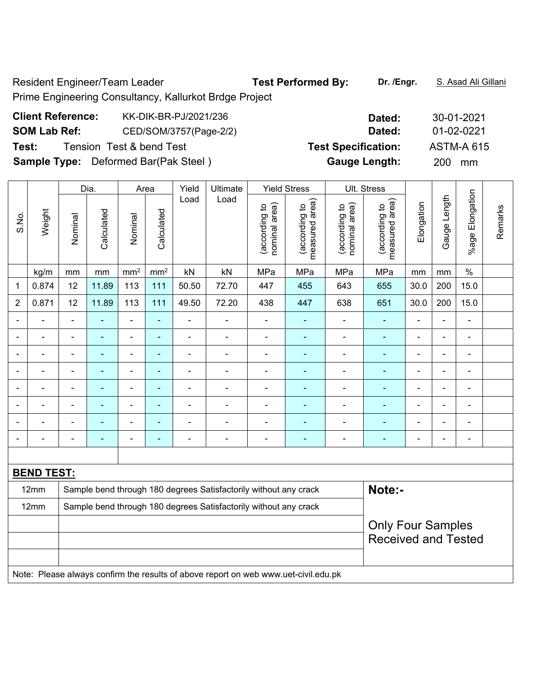Resident Engineer/Team Leader **Test Performed By:** Dr. /Engr. **S. Asad Ali Gillani** Prime Engineering Consultancy, Kallurkot Brdge Project

| <b>Client Reference:</b> | KK-DIK-BR-PJ/2021/236                       | Dated:                     | 30-01-2021        |
|--------------------------|---------------------------------------------|----------------------------|-------------------|
| <b>SOM Lab Ref:</b>      | CED/SOM/3757(Page-2/2)                      | Dated:                     | 01-02-0221        |
| Test:                    | Tension Test & bend Test                    | <b>Test Specification:</b> | <b>ASTM-A 615</b> |
|                          | <b>Sample Type:</b> Deformed Bar(Pak Steel) | <b>Gauge Length:</b>       | <b>200</b><br>mm  |

|                          |                   |                          | Dia.                     |                              | Area                     | Yield                                                            | Ultimate                                                         |                                | <b>Yield Stress</b>             |                                | <b>Ult. Stress</b>              |                              |                          |                              |         |
|--------------------------|-------------------|--------------------------|--------------------------|------------------------------|--------------------------|------------------------------------------------------------------|------------------------------------------------------------------|--------------------------------|---------------------------------|--------------------------------|---------------------------------|------------------------------|--------------------------|------------------------------|---------|
| S.No.                    | Weight            | Nominal                  | Calculated               | Nominal                      | Calculated               | Load                                                             | Load                                                             | nominal area)<br>(according to | (according to<br>measured area) | (according to<br>nominal area) | (according to<br>measured area) | Elongation                   | Gauge Length             | %age Elongation              | Remarks |
|                          | kg/m              | mm                       | mm                       | mm <sup>2</sup>              | $\text{mm}^2$            | kN                                                               | kN                                                               | MPa                            | MPa                             | MPa                            | MPa                             | mm                           | mm                       | $\frac{0}{0}$                |         |
| 1                        | 0.874             | 12                       | 11.89                    | 113                          | 111                      | 50.50                                                            | 72.70                                                            | 447                            | 455                             | 643                            | 655                             | 30.0                         | 200                      | 15.0                         |         |
| $\overline{2}$           | 0.871             | 12                       | 11.89                    | 113                          | 111                      | 49.50                                                            | 72.20                                                            | 438                            | 447                             | 638                            | 651                             | 30.0                         | 200                      | 15.0                         |         |
| $\blacksquare$           |                   | $\blacksquare$           | ÷                        | $\blacksquare$               | ä,                       | -                                                                | $\blacksquare$                                                   | $\blacksquare$                 | ÷                               | $\blacksquare$                 | $\blacksquare$                  | $\blacksquare$               | ä,                       | $\blacksquare$               |         |
|                          |                   |                          |                          | ÷                            | ÷                        |                                                                  |                                                                  |                                |                                 |                                | $\blacksquare$                  |                              | $\blacksquare$           | ۰                            |         |
|                          |                   | $\blacksquare$           | $\overline{\phantom{a}}$ | ÷                            | ٠                        | $\blacksquare$                                                   | $\blacksquare$                                                   | $\blacksquare$                 | ÷                               | $\blacksquare$                 | $\blacksquare$                  | $\blacksquare$               |                          | $\overline{\phantom{a}}$     |         |
| $\overline{\phantom{0}}$ |                   | $\blacksquare$           | $\blacksquare$           | $\qquad \qquad \blacksquare$ | ÷                        | $\blacksquare$                                                   | $\overline{\phantom{a}}$                                         | $\overline{a}$                 | ÷                               | $\overline{\phantom{0}}$       | $\blacksquare$                  | $\blacksquare$               | $\overline{\phantom{a}}$ | $\overline{\phantom{a}}$     |         |
|                          | ÷                 | $\blacksquare$           | ÷                        | ÷                            | ÷,                       | $\overline{a}$                                                   | $\blacksquare$                                                   | $\blacksquare$                 | $\blacksquare$                  |                                | $\blacksquare$                  |                              | ä,                       | $\blacksquare$               |         |
|                          |                   |                          |                          | ÷                            | ÷                        |                                                                  | $\blacksquare$                                                   |                                |                                 |                                | ۰                               |                              | $\blacksquare$           | ۰                            |         |
| ۰                        |                   | $\overline{\phantom{0}}$ | $\blacksquare$           | $\blacksquare$               | $\overline{\phantom{0}}$ | $\overline{\phantom{0}}$                                         | $\overline{a}$                                                   |                                | $\overline{\phantom{0}}$        |                                | $\overline{\phantom{0}}$        | $\blacksquare$               | $\overline{a}$           | $\qquad \qquad \blacksquare$ |         |
| $\overline{\phantom{a}}$ |                   | -                        | ۰                        | -                            | ٠                        | -                                                                | $\blacksquare$                                                   | $\overline{a}$                 | ۰                               | $\overline{\phantom{0}}$       | ۰                               | $\qquad \qquad \blacksquare$ | -                        | $\overline{\phantom{a}}$     |         |
|                          |                   |                          |                          |                              |                          |                                                                  |                                                                  |                                |                                 |                                |                                 |                              |                          |                              |         |
|                          | <b>BEND TEST:</b> |                          |                          |                              |                          |                                                                  |                                                                  |                                |                                 |                                |                                 |                              |                          |                              |         |
|                          | 12mm              |                          |                          |                              |                          | Sample bend through 180 degrees Satisfactorily without any crack |                                                                  | Note:-                         |                                 |                                |                                 |                              |                          |                              |         |
|                          | 12mm              |                          |                          |                              |                          |                                                                  | Sample bend through 180 degrees Satisfactorily without any crack |                                |                                 |                                |                                 |                              |                          |                              |         |
|                          |                   |                          |                          |                              |                          |                                                                  |                                                                  |                                |                                 |                                | <b>Only Four Samples</b>        |                              |                          |                              |         |
|                          |                   |                          |                          |                              |                          |                                                                  |                                                                  |                                |                                 |                                | <b>Received and Tested</b>      |                              |                          |                              |         |
|                          |                   |                          |                          |                              |                          |                                                                  |                                                                  |                                |                                 |                                |                                 |                              |                          |                              |         |

Note: Please always confirm the results of above report on web www.uet-civil.edu.pk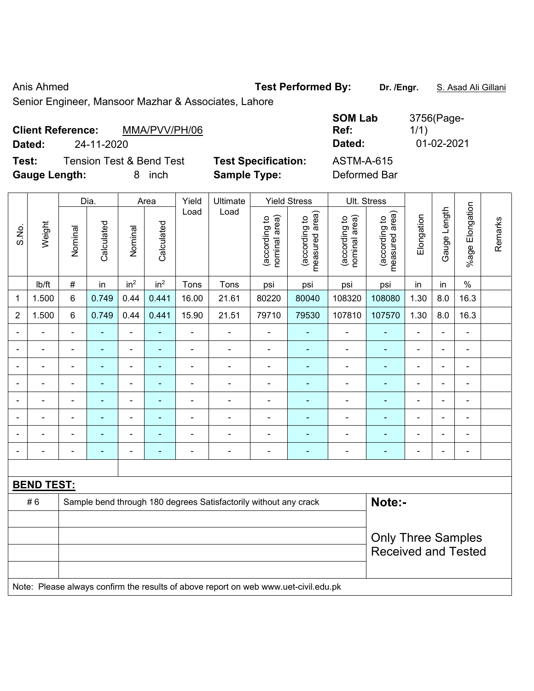Anis Ahmed **Test Performed By:** Dr. /Engr. **S. Asad Ali Gillani** Anis Ahmed

Senior Engineer, Mansoor Mazhar & Associates, Lahore

| <b>Client Reference:</b> |                                     | MMA/PVV/PH/06 |                            | <b>SUMLAD</b><br>Ref: | 3130Gray <del>e</del> -<br>1/1) |
|--------------------------|-------------------------------------|---------------|----------------------------|-----------------------|---------------------------------|
| Dated:                   | 24-11-2020                          |               |                            | Dated:                | 01-02-2021                      |
| Test:                    | <b>Tension Test &amp; Bend Test</b> |               | <b>Test Specification:</b> | <b>ASTM-A-615</b>     |                                 |
| <b>Gauge Length:</b>     |                                     | inch<br>8.    | <b>Sample Type:</b>        | Deformed Bar          |                                 |

|                          |                   |                | Dia.           |                 | Area                     | Yield          | Ultimate                                                                            |                                | <b>Yield Stress</b>             |                                | Ult. Stress                     |                          |                |                 |         |
|--------------------------|-------------------|----------------|----------------|-----------------|--------------------------|----------------|-------------------------------------------------------------------------------------|--------------------------------|---------------------------------|--------------------------------|---------------------------------|--------------------------|----------------|-----------------|---------|
| S.No.                    | Weight            | Nominal        | Calculated     | Nominal         | Calculated               | Load           | Load                                                                                | nominal area)<br>(according to | (according to<br>measured area) | nominal area)<br>(according to | (according to<br>measured area) | Elongation               | Gauge Length   | %age Elongation | Remarks |
|                          | Ib/ft             | $\#$           | in             | in <sup>2</sup> | in <sup>2</sup>          | Tons           | Tons                                                                                | psi                            | psi                             | psi                            | psi                             | in                       | in             | $\%$            |         |
| $\mathbf 1$              | 1.500             | $6\phantom{1}$ | 0.749          | 0.44            | 0.441                    | 16.00          | 21.61                                                                               | 80220                          | 80040                           | 108320                         | 108080                          | 1.30                     | 8.0            | 16.3            |         |
| $\overline{2}$           | 1.500             | 6              | 0.749          | 0.44            | 0.441                    | 15.90          | 21.51                                                                               | 79710                          | 79530                           | 107810                         | 107570                          | 1.30                     | 8.0            | 16.3            |         |
| $\overline{\phantom{0}}$ | $\blacksquare$    | $\blacksquare$ | $\blacksquare$ | $\blacksquare$  | $\blacksquare$           | ÷,             | $\qquad \qquad \blacksquare$                                                        | $\blacksquare$                 | $\overline{\phantom{a}}$        | $\overline{\phantom{a}}$       | $\blacksquare$                  | $\frac{1}{2}$            | ä,             | $\blacksquare$  |         |
|                          |                   | $\blacksquare$ | ÷,             | $\blacksquare$  | $\blacksquare$           | $\blacksquare$ | $\blacksquare$                                                                      | $\blacksquare$                 | $\blacksquare$                  | $\blacksquare$                 | $\blacksquare$                  | $\blacksquare$           | $\sim$         | $\blacksquare$  |         |
|                          | $\blacksquare$    | $\blacksquare$ | $\blacksquare$ | $\blacksquare$  | $\overline{\phantom{a}}$ | ÷              | $\frac{1}{2}$                                                                       | $\overline{\phantom{a}}$       | $\overline{a}$                  | $\blacksquare$                 | $\blacksquare$                  | $\overline{\phantom{a}}$ | $\blacksquare$ | $\overline{a}$  |         |
|                          | $\blacksquare$    | $\blacksquare$ | $\blacksquare$ | $\blacksquare$  | $\overline{\phantom{a}}$ | ä,             | $\blacksquare$                                                                      | $\blacksquare$                 | $\blacksquare$                  | $\blacksquare$                 | $\blacksquare$                  | $\blacksquare$           | ÷,             | $\blacksquare$  |         |
|                          |                   |                | $\blacksquare$ | $\blacksquare$  | $\overline{\phantom{a}}$ | $\blacksquare$ | $\blacksquare$                                                                      | $\blacksquare$                 | $\blacksquare$                  | $\blacksquare$                 | $\blacksquare$                  | $\blacksquare$           |                | $\blacksquare$  |         |
|                          |                   |                | $\blacksquare$ | $\blacksquare$  |                          |                | $\blacksquare$                                                                      |                                |                                 | $\overline{a}$                 | $\blacksquare$                  |                          |                | $\equiv$        |         |
|                          |                   |                |                | ÷               |                          | L.             | $\blacksquare$                                                                      |                                |                                 | Ē,                             | $\blacksquare$                  | $\blacksquare$           |                |                 |         |
| $\blacksquare$           |                   | $\blacksquare$ | ÷              | $\blacksquare$  | $\blacksquare$           | $\blacksquare$ | $\frac{1}{2}$                                                                       | $\blacksquare$                 | ÷                               | Ē,                             | $\blacksquare$                  | $\blacksquare$           | $\blacksquare$ | $\blacksquare$  |         |
|                          |                   |                |                |                 |                          |                |                                                                                     |                                |                                 |                                |                                 |                          |                |                 |         |
|                          | <b>BEND TEST:</b> |                |                |                 |                          |                |                                                                                     |                                |                                 |                                |                                 |                          |                |                 |         |
|                          | #6                |                |                |                 |                          |                | Sample bend through 180 degrees Satisfactorily without any crack                    |                                |                                 |                                | Note:-                          |                          |                |                 |         |
|                          |                   |                |                |                 |                          |                |                                                                                     |                                |                                 |                                |                                 |                          |                |                 |         |
|                          |                   |                |                |                 |                          |                |                                                                                     |                                |                                 |                                | <b>Only Three Samples</b>       |                          |                |                 |         |
|                          |                   |                |                |                 |                          |                |                                                                                     |                                |                                 |                                | <b>Received and Tested</b>      |                          |                |                 |         |
|                          |                   |                |                |                 |                          |                |                                                                                     |                                |                                 |                                |                                 |                          |                |                 |         |
|                          |                   |                |                |                 |                          |                | Note: Please always confirm the results of above report on web www.uet-civil.edu.pk |                                |                                 |                                |                                 |                          |                |                 |         |

**SOM Lab**  3756(Page-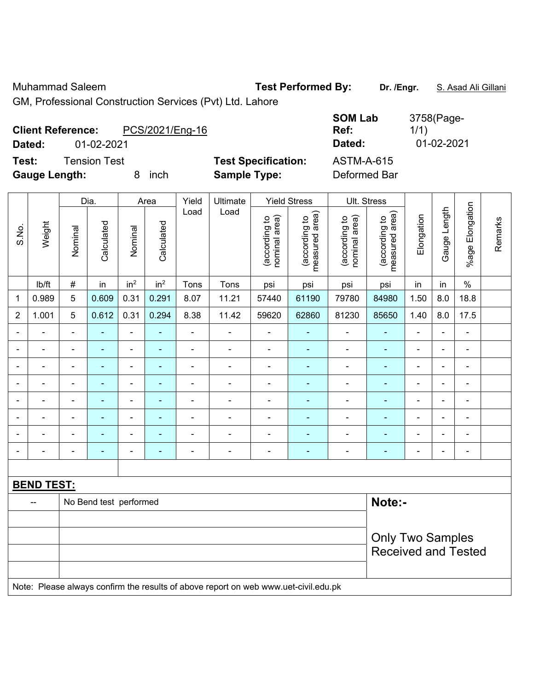Muhammad Saleem **Test Performed By:** Dr. /Engr. **S. Asad Ali Gillani** Alli Billani

GM, Professional Construction Services (Pvt) Ltd. Lahore

| <b>Client Reference:</b><br>Dated: | 01-02-2021   | PCS/2021/Eng-16 |                            | <b>SOM Lab</b><br>Ref:<br>Dated: | 3758(Page-<br>1/1)<br>01-02-2021 |
|------------------------------------|--------------|-----------------|----------------------------|----------------------------------|----------------------------------|
| Test:                              | Tension Test |                 | <b>Test Specification:</b> | <b>ASTM-A-615</b>                |                                  |
| <b>Gauge Length:</b>               |              | inch            | <b>Sample Type:</b>        | Deformed Bar                     |                                  |

|                          |                   |                | Dia.                   |                 | Area            | Yield          | Ultimate                                                                            | <b>Yield Stress</b>            |                                 |                                | Ult. Stress                     |                |                |                              |         |
|--------------------------|-------------------|----------------|------------------------|-----------------|-----------------|----------------|-------------------------------------------------------------------------------------|--------------------------------|---------------------------------|--------------------------------|---------------------------------|----------------|----------------|------------------------------|---------|
| S.No.                    | Weight            | Nominal        | Calculated             | Nominal         | Calculated      | Load           | Load                                                                                | nominal area)<br>(according to | (according to<br>measured area) | (according to<br>nominal area) | (according to<br>measured area) | Elongation     | Gauge Length   | Elongation<br>$%$ age        | Remarks |
|                          | Ib/ft             | $\#$           | in                     | in <sup>2</sup> | in <sup>2</sup> | Tons           | Tons                                                                                | psi                            | psi                             | psi                            | psi                             | in             | in             | $\%$                         |         |
| 1                        | 0.989             | 5              | 0.609                  | 0.31            | 0.291           | 8.07           | 11.21                                                                               | 57440                          | 61190                           | 79780                          | 84980                           | 1.50           | 8.0            | 18.8                         |         |
| $\overline{2}$           | 1.001             | 5              | 0.612                  | 0.31            | 0.294           | 8.38           | 11.42                                                                               | 59620                          | 62860                           | 81230                          | 85650                           | 1.40           | 8.0            | 17.5                         |         |
| $\overline{\phantom{0}}$ | ÷                 | $\blacksquare$ | ۰                      | $\blacksquare$  | ۰               | $\blacksquare$ | $\qquad \qquad \blacksquare$                                                        | $\blacksquare$                 | $\overline{\phantom{0}}$        | $\blacksquare$                 | ٠                               | $\blacksquare$ | $\blacksquare$ | $\qquad \qquad \blacksquare$ |         |
| $\overline{\phantom{a}}$ | ÷                 | $\blacksquare$ | $\blacksquare$         | ä,              | $\blacksquare$  | $\blacksquare$ | $\blacksquare$                                                                      | $\blacksquare$                 | ä,                              | $\blacksquare$                 | $\blacksquare$                  | $\blacksquare$ | ä,             | $\blacksquare$               |         |
|                          | ÷                 | $\blacksquare$ | $\blacksquare$         | $\blacksquare$  | $\blacksquare$  | $\blacksquare$ | $\frac{1}{2}$                                                                       | $\overline{\phantom{a}}$       | $\overline{\phantom{0}}$        | $\overline{\phantom{a}}$       | $\blacksquare$                  | $\blacksquare$ | $\blacksquare$ | $\blacksquare$               |         |
|                          | ä,                | $\blacksquare$ | ÷,                     | $\blacksquare$  | $\blacksquare$  | ä,             | $\frac{1}{2}$                                                                       | $\blacksquare$                 | $\blacksquare$                  | $\blacksquare$                 | ä,                              | ä,             | $\blacksquare$ | $\blacksquare$               |         |
|                          | -                 |                | ÷                      | ÷,              | ÷               | $\blacksquare$ | $\overline{\phantom{0}}$                                                            | $\blacksquare$                 | $\blacksquare$                  | $\blacksquare$                 | ٠                               | $\blacksquare$ | $\blacksquare$ | ä,                           |         |
|                          |                   |                |                        | ۰               |                 | $\blacksquare$ | $\blacksquare$                                                                      |                                |                                 |                                |                                 |                | $\blacksquare$ | $\blacksquare$               |         |
|                          |                   |                |                        | ä,              |                 | Ē,             | $\frac{1}{2}$                                                                       |                                |                                 |                                | $\blacksquare$                  |                | Ē,             | $\blacksquare$               |         |
| $\blacksquare$           | ÷                 | $\blacksquare$ | ä,                     | ÷,              | ÷               | $\blacksquare$ | $\frac{1}{2}$                                                                       | $\blacksquare$                 | $\blacksquare$                  | $\blacksquare$                 | ٠                               | $\blacksquare$ | $\blacksquare$ | $\overline{\phantom{a}}$     |         |
|                          |                   |                |                        |                 |                 |                |                                                                                     |                                |                                 |                                |                                 |                |                |                              |         |
|                          | <b>BEND TEST:</b> |                |                        |                 |                 |                |                                                                                     |                                |                                 |                                |                                 |                |                |                              |         |
|                          | --                |                | No Bend test performed |                 |                 |                |                                                                                     |                                |                                 |                                | Note:-                          |                |                |                              |         |
|                          |                   |                |                        |                 |                 |                |                                                                                     |                                |                                 |                                |                                 |                |                |                              |         |
|                          |                   |                |                        |                 |                 |                |                                                                                     |                                |                                 |                                | <b>Only Two Samples</b>         |                |                |                              |         |
|                          |                   |                |                        |                 |                 |                |                                                                                     |                                |                                 |                                | <b>Received and Tested</b>      |                |                |                              |         |
|                          |                   |                |                        |                 |                 |                | Note: Please always confirm the results of above report on web www.uet-civil.edu.pk |                                |                                 |                                |                                 |                |                |                              |         |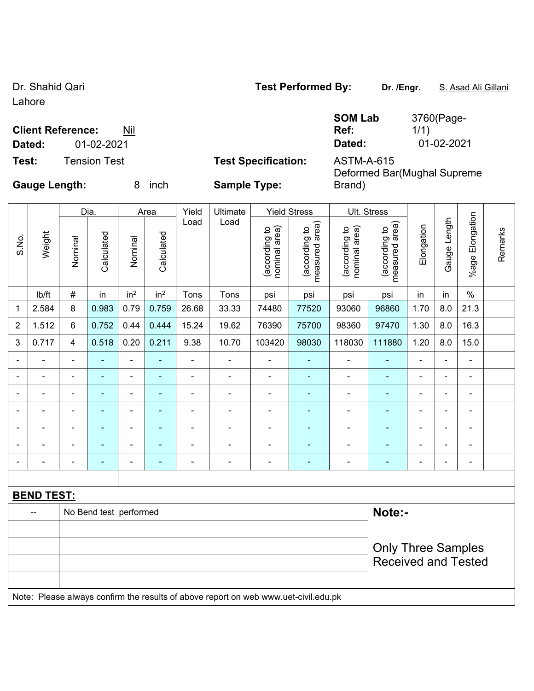Lahore

# **Client Reference:** Nil

**Test:** Tension Test **Test Specification:** ASTM-A-615

**SOM Lab Ref:**  3760(Page-1/1) **Dated:** 01-02-2021 **Dated:** 01-02-2021

Deformed Bar(Mughal Supreme

Brand)

**Gauge Length:** 8 inch **Sample Type:** 

|                |                   |                | Dia.           |                 | Area            | Yield                    | Ultimate       |                                | <b>Yield Stress</b>             | Ult. Stress                    |                                    |                |                |                       |         |
|----------------|-------------------|----------------|----------------|-----------------|-----------------|--------------------------|----------------|--------------------------------|---------------------------------|--------------------------------|------------------------------------|----------------|----------------|-----------------------|---------|
| S.No.          | Weight            | Nominal        | Calculated     | Nominal         | Calculated      | Load                     | Load           | (according to<br>nominal area) | measured area)<br>(according to | nominal area)<br>(according to | area)<br>(according to<br>measured | Elongation     | Gauge Length   | Elongation<br>$%$ age | Remarks |
|                | lb/ft             | $\#$           | in             | in <sup>2</sup> | in <sup>2</sup> | Tons                     | Tons           | psi                            | psi                             | psi                            | psi                                | in             | in             | $\%$                  |         |
| 1              | 2.584             | 8              | 0.983          | 0.79            | 0.759           | 26.68                    | 33.33          | 74480                          | 77520                           | 93060                          | 96860                              | 1.70           | 8.0            | 21.3                  |         |
| $\overline{2}$ | 1.512             | $\,6$          | 0.752          | 0.44            | 0.444           | 15.24                    | 19.62          | 76390                          | 75700                           | 98360                          | 97470                              | 1.30           | 8.0            | 16.3                  |         |
| 3              | 0.717             | 4              | 0.518          | 0.20            | 0.211           | 9.38                     | 10.70          | 103420                         | 98030                           | 118030                         | 111880                             | 1.20           | 8.0            | 15.0                  |         |
| $\blacksquare$ | $\blacksquare$    | $\blacksquare$ | $\blacksquare$ | ۰               | $\blacksquare$  | $\overline{\phantom{0}}$ | $\blacksquare$ | $\blacksquare$                 | $\blacksquare$                  | ۰                              | ۰                                  | $\blacksquare$ | $\blacksquare$ | ۰                     |         |
|                |                   | $\blacksquare$ |                | ۰               |                 | $\blacksquare$           | $\blacksquare$ | $\blacksquare$                 |                                 |                                | $\blacksquare$                     | ۰              | ۰              | -                     |         |
|                |                   | $\blacksquare$ |                | $\blacksquare$  |                 | ۰                        | $\blacksquare$ | $\blacksquare$                 | $\overline{\phantom{0}}$        |                                | -                                  | ۰              | ۰              | $\blacksquare$        |         |
|                |                   | $\blacksquare$ | $\blacksquare$ | $\blacksquare$  | ۰               | $\blacksquare$           | -              | -                              | $\overline{\phantom{0}}$        |                                | -                                  | ۰              | $\blacksquare$ | -                     |         |
|                |                   | $\blacksquare$ |                |                 |                 |                          | -              |                                |                                 |                                |                                    | ۰              | ۰              |                       |         |
|                |                   | $\blacksquare$ | $\equiv$       | -               |                 |                          | $\blacksquare$ | -                              |                                 |                                |                                    | ۰              | $\blacksquare$ | ۰                     |         |
|                |                   | $\blacksquare$ | $\blacksquare$ | -               | ۰               | -                        | $\blacksquare$ | $\blacksquare$                 | ۰                               | ۰                              | -                                  | $\blacksquare$ | $\blacksquare$ | ۰                     |         |
|                |                   |                |                |                 |                 |                          |                |                                |                                 |                                |                                    |                |                |                       |         |
|                | <b>BEND TEST:</b> |                |                |                 |                 |                          |                |                                |                                 |                                |                                    |                |                |                       |         |

| No Bend test performed                                                              | Note:-                                           |  |  |  |  |  |  |  |  |  |
|-------------------------------------------------------------------------------------|--------------------------------------------------|--|--|--|--|--|--|--|--|--|
|                                                                                     |                                                  |  |  |  |  |  |  |  |  |  |
|                                                                                     | Only Three Samples<br><b>Received and Tested</b> |  |  |  |  |  |  |  |  |  |
|                                                                                     |                                                  |  |  |  |  |  |  |  |  |  |
| Note: Please always confirm the results of above report on web www.uet-civil.edu.pk |                                                  |  |  |  |  |  |  |  |  |  |

Dr. Shahid Qari **Test Performed By:** Dr. /Engr. **S. Asad Ali Gillani** Company of Test Performed By: Dr. /Engr. **S. Asad Ali Gillani**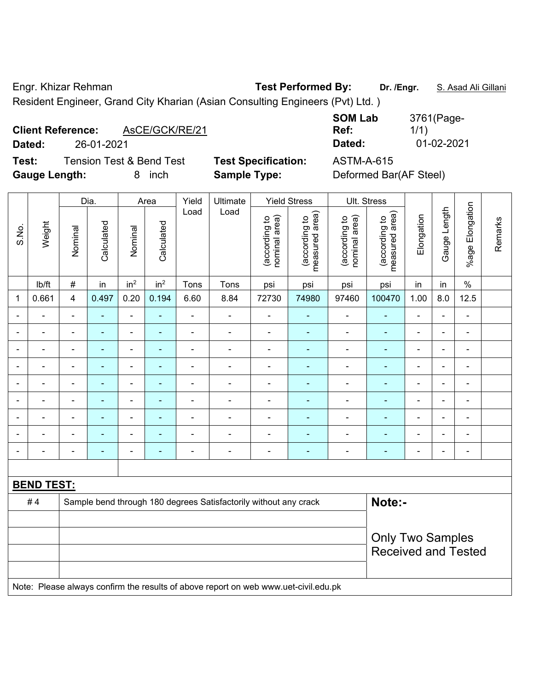Engr. Khizar Rehman **Test Performed By: Dr. /Engr.** S. Asad Ali Gillani Resident Engineer, Grand City Kharian (Asian Consulting Engineers (Pvt) Ltd. )

# **Client Reference:** AsCE/GCK/RE/21

**Test:** Tension Test & Bend Test **Test Specification:** ASTM-A-615 **Gauge Length:** 8 inch **Sample Type:** Deformed Bar(AF Steel)

|                          |                | <b>SOM Lab</b> | 3761(Page- |
|--------------------------|----------------|----------------|------------|
| <b>Client Reference:</b> | AsCE/GCK/RE/21 | Ref:           | 1/1)       |
| Dated:                   | 26-01-2021     | Dated:         | 01-02-2021 |

|                |                   |                | Dia.       |                              | Area            | Yield          | Ultimate                                                         |                                | <b>Yield Stress</b>             |                                | Ult. Stress                     |                |                |                          |         |  |  |
|----------------|-------------------|----------------|------------|------------------------------|-----------------|----------------|------------------------------------------------------------------|--------------------------------|---------------------------------|--------------------------------|---------------------------------|----------------|----------------|--------------------------|---------|--|--|
| S.No.          | Weight            | Nominal        | Calculated | Nominal                      | Calculated      | Load           | Load                                                             | nominal area)<br>(according to | (according to<br>measured area) | (according to<br>nominal area) | (according to<br>measured area) | Elongation     | Gauge Length   | Elongation<br>$%$ age    | Remarks |  |  |
|                | lb/ft             | $\#$           | in         | in <sup>2</sup>              | in <sup>2</sup> | Tons           | Tons                                                             | psi                            | psi                             | psi                            | psi                             | in             | in             | $\%$                     |         |  |  |
| $\mathbf 1$    | 0.661             | $\overline{4}$ | 0.497      | 0.20                         | 0.194           | 6.60           | 8.84                                                             | 72730                          | 74980                           | 97460                          | 100470                          | 1.00           | 8.0            | 12.5                     |         |  |  |
| $\blacksquare$ |                   | $\blacksquare$ | L,         | ÷,                           | $\blacksquare$  | $\blacksquare$ | ÷,                                                               | ÷,                             | ÷                               | $\frac{1}{2}$                  | ÷,                              | ä,             |                | $\overline{\phantom{0}}$ |         |  |  |
|                |                   | $\blacksquare$ | ÷,         | $\blacksquare$               |                 | $\blacksquare$ | ÷.                                                               | $\blacksquare$                 | ٠                               | $\blacksquare$                 | $\blacksquare$                  | $\blacksquare$ |                | $\blacksquare$           |         |  |  |
| $\blacksquare$ | $\blacksquare$    | $\blacksquare$ | ä,         | $\overline{\phantom{a}}$     | ÷               | ä,             | ÷,                                                               | $\blacksquare$                 | $\overline{a}$                  | $\blacksquare$                 | $\blacksquare$                  | ÷              | $\blacksquare$ | $\overline{\phantom{a}}$ |         |  |  |
| $\blacksquare$ |                   | $\blacksquare$ | ä,         | $\blacksquare$               |                 | $\blacksquare$ | ÷                                                                |                                |                                 | ÷                              | ٠                               | $\blacksquare$ | $\overline{a}$ | $\blacksquare$           |         |  |  |
|                |                   | $\blacksquare$ | ä,         | $\blacksquare$               |                 | $\blacksquare$ | ÷                                                                | $\blacksquare$                 | $\blacksquare$                  | ä,                             | ä,                              | ä,             |                | ä,                       |         |  |  |
|                |                   | $\blacksquare$ | ÷,         | $\blacksquare$               |                 | $\blacksquare$ | $\overline{a}$                                                   |                                |                                 | ÷                              |                                 | $\blacksquare$ |                | ÷                        |         |  |  |
| $\blacksquare$ |                   | $\blacksquare$ | ä,         | $\qquad \qquad \blacksquare$ |                 | $\blacksquare$ | ÷.                                                               | $\blacksquare$                 | ٠                               | $\blacksquare$                 | $\blacksquare$                  | $\blacksquare$ | ۳              | $\blacksquare$           |         |  |  |
|                |                   | Ē,             | ä,         | $\blacksquare$               |                 | Ē,             | ä,                                                               | $\blacksquare$                 |                                 | ÷                              | $\blacksquare$                  | $\blacksquare$ |                | ä,                       |         |  |  |
| $\blacksquare$ |                   | $\blacksquare$ | ۰          | $\blacksquare$               | $\blacksquare$  | ä,             | ÷                                                                | $\blacksquare$                 | ٠                               | ÷                              | ٠                               | $\blacksquare$ | ۳              | $\blacksquare$           |         |  |  |
|                |                   |                |            |                              |                 |                |                                                                  |                                |                                 |                                |                                 |                |                |                          |         |  |  |
|                | <b>BEND TEST:</b> |                |            |                              |                 |                |                                                                  |                                |                                 |                                |                                 |                |                |                          |         |  |  |
|                | #4                |                |            |                              |                 |                | Sample bend through 180 degrees Satisfactorily without any crack |                                |                                 |                                | Note:-                          |                |                |                          |         |  |  |
|                |                   |                |            |                              |                 |                |                                                                  |                                |                                 |                                |                                 |                |                |                          |         |  |  |
|                |                   |                |            |                              |                 |                |                                                                  |                                |                                 |                                | <b>Only Two Samples</b>         |                |                |                          |         |  |  |
|                |                   |                |            |                              |                 |                |                                                                  |                                |                                 |                                | <b>Received and Tested</b>      |                |                |                          |         |  |  |
|                |                   |                |            |                              |                 |                |                                                                  |                                |                                 |                                |                                 |                |                |                          |         |  |  |

Note: Please always confirm the results of above report on web www.uet-civil.edu.pk

e-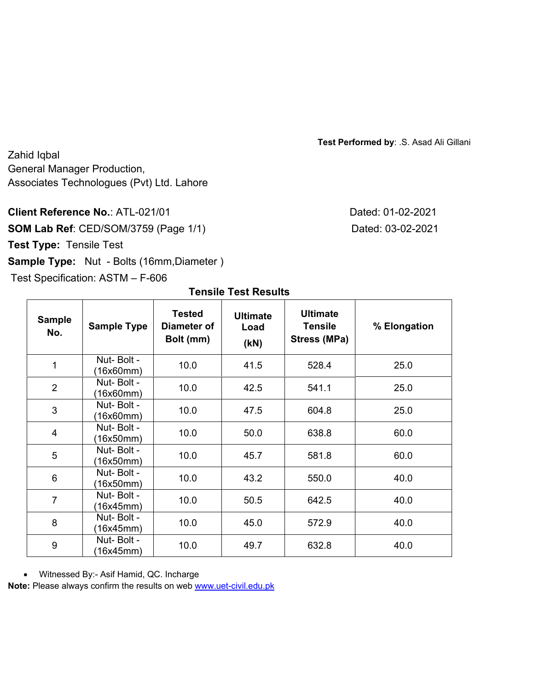**Test Performed by**: .S. Asad Ali Gillani

Zahid Iqbal General Manager Production, Associates Technologues (Pvt) Ltd. Lahore

# **Client Reference No.: ATL-021/01**

**SOM Lab Ref: CED/SOM/3759 (Page 1/1) Test Type:** Tensile Test **Sample Type:** Nut - Bolts (16mm, Diameter)

Test Specification: ASTM – F-606

| Dated: 01-02-2021 |
|-------------------|
| Dated: 03-02-2021 |

| <b>Sample</b><br>No. | <b>Sample Type</b>      | Tested<br>Diameter of<br>Bolt (mm) | <b>Ultimate</b><br>Load<br>(KN) | <b>Ultimate</b><br><b>Tensile</b><br>Stress (MPa) | % Elongation |
|----------------------|-------------------------|------------------------------------|---------------------------------|---------------------------------------------------|--------------|
| 1                    | Nut-Bolt -<br>(16x60mm) | 10.0                               | 41.5                            | 528.4                                             | 25.0         |
| $\overline{2}$       | Nut-Bolt -<br>(16x60mm) | 10.0                               | 42.5                            | 541.1                                             | 25.0         |
| 3                    | Nut-Bolt -<br>16x60mm)  | 10.0                               | 47.5                            | 604.8                                             | 25.0         |
| 4                    | Nut-Bolt -<br>16x50mm)  | 10.0                               | 50.0                            | 638.8                                             | 60.0         |
| 5                    | Nut-Bolt -<br>16x50mm)  | 10.0                               | 45.7                            | 581.8                                             | 60.0         |
| 6                    | Nut-Bolt -<br>(16x50mm) | 10.0                               | 43.2                            | 550.0                                             | 40.0         |
| $\overline{7}$       | Nut-Bolt -<br>16x45mm)  | 10.0                               | 50.5                            | 642.5                                             | 40.0         |
| 8                    | Nut-Bolt -<br>16x45mm)  | 10.0                               | 45.0                            | 572.9                                             | 40.0         |
| 9                    | Nut-Bolt -<br>16x45mm)  | 10.0                               | 49.7                            | 632.8                                             | 40.0         |

### **Tensile Test Results**

Witnessed By:- Asif Hamid, QC. Incharge

**Note:** Please always confirm the results on web www.uet-civil.edu.pk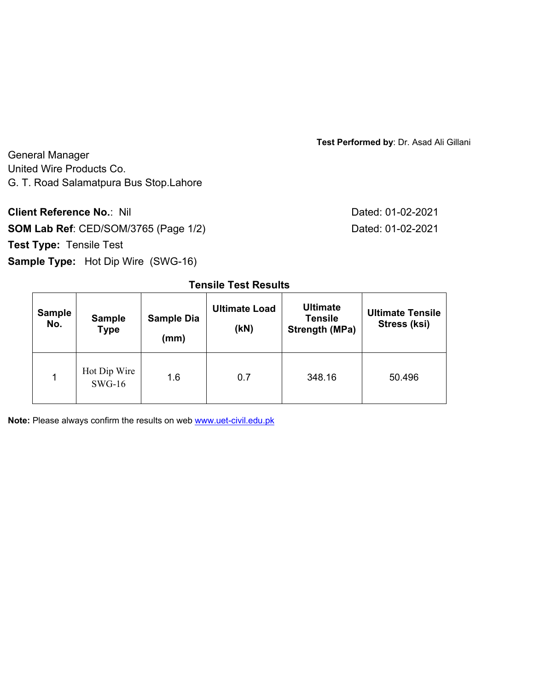**Test Performed by**: Dr. Asad Ali Gillani

General Manager United Wire Products Co. G. T. Road Salamatpura Bus Stop.Lahore

**Client Reference No.: Nil Client Reference No.: Nil Dated: 01-02-2021 SOM Lab Ref**: CED/SOM/3765 (Page 1/2) Dated: 01-02-2021

**Test Type:** Tensile Test

**Sample Type:** Hot Dip Wire (SWG-16)

| <b>Sample</b><br>No. | <b>Sample</b><br><b>Type</b> | <b>Sample Dia</b><br>(mm) | <b>Ultimate Load</b><br>(KN) | <b>Ultimate</b><br><b>Tensile</b><br>Strength (MPa) | <b>Ultimate Tensile</b><br>Stress (ksi) |
|----------------------|------------------------------|---------------------------|------------------------------|-----------------------------------------------------|-----------------------------------------|
| 4                    | Hot Dip Wire<br>$SWG-16$     | 1.6                       | 0.7                          | 348.16                                              | 50.496                                  |

**Tensile Test Results** 

**Note:** Please always confirm the results on web www.uet-civil.edu.pk